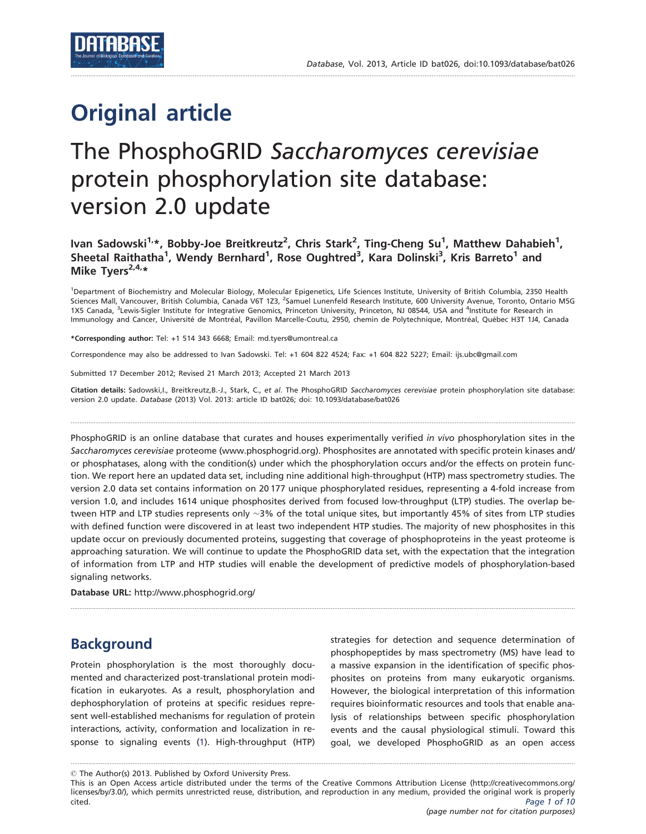# Original article

# The PhosphoGRID Saccharomyces cerevisiae protein phosphorylation site database: version 2.0 update

.............................................................................................................................................................................................................................................................................................

Ivan Sadowski<sup>1,</sup>\*, Bobby-Joe Breitkreutz<sup>2</sup>, Chris Stark<sup>2</sup>, Ting-Cheng Su<sup>1</sup>, Matthew Dahabieh<sup>1</sup>, Sheetal Raithatha<sup>1</sup>, Wendy Bernhard<sup>1</sup>, Rose Oughtred<sup>3</sup>, Kara Dolinski<sup>3</sup>, Kris Barreto<sup>1</sup> and Mike Tyers $2.4.*$ 

<sup>1</sup>Department of Biochemistry and Molecular Biology, Molecular Epigenetics, Life Sciences Institute, University of British Columbia, 2350 Health Sciences Mall, Vancouver, British Columbia, Canada V6T 123, <sup>2</sup>Samuel Lunenfeld Research Institute, 600 University Avenue, Toronto, Ontario M5G 1X5 Canada, <sup>3</sup>Lewis-Sigler Institute for Integrative Genomics, Princeton University, Princeton, NJ 08544, USA and <sup>4</sup>Institute for Research in Immunology and Cancer, Université de Montréal, Pavillon Marcelle-Coutu, 2950, chemin de Polytechnique, Montréal, Québec H3T 1J4, Canada

\*Corresponding author: Tel: +1 514 343 6668; Email: md.tyers@umontreal.ca

Correspondence may also be addressed to Ivan Sadowski. Tel: +1 604 822 4524; Fax: +1 604 822 5227; Email: ijs.ubc@gmail.com

Submitted 17 December 2012; Revised 21 March 2013; Accepted 21 March 2013

Citation details: Sadowski, I., Breitkreutz, B.-J., Stark, C., et al. The PhosphoGRID Saccharomyces cerevisiae protein phosphorylation site database: version 2.0 update. Database (2013) Vol. 2013: article ID bat026; doi: 10.1093/database/bat026

.............................................................................................................................................................................................................................................................................................

PhosphoGRID is an online database that curates and houses experimentally verified in vivo phosphorylation sites in the Saccharomyces cerevisiae proteome (<www.phosphogrid.org>). Phosphosites are annotated with specific protein kinases and/ or phosphatases, along with the condition(s) under which the phosphorylation occurs and/or the effects on protein function. We report here an updated data set, including nine additional high-throughput (HTP) mass spectrometry studies. The version 2.0 data set contains information on 20 177 unique phosphorylated residues, representing a 4-fold increase from version 1.0, and includes 1614 unique phosphosites derived from focused low-throughput (LTP) studies. The overlap between HTP and LTP studies represents only  ${\sim}3\%$  of the total unique sites, but importantly 45% of sites from LTP studies with defined function were discovered in at least two independent HTP studies. The majority of new phosphosites in this update occur on previously documented proteins, suggesting that coverage of phosphoproteins in the yeast proteome is approaching saturation. We will continue to update the PhosphoGRID data set, with the expectation that the integration of information from LTP and HTP studies will enable the development of predictive models of phosphorylation-based signaling networks.

.............................................................................................................................................................................................................................................................................................

Database URL: <http://www.phosphogrid.org/>

# Background

Protein phosphorylation is the most thoroughly documented and characterized post-translational protein modification in eukaryotes. As a result, phosphorylation and dephosphorylation of proteins at specific residues represent well-established mechanisms for regulation of protein interactions, activity, conformation and localization in response to signaling events [\(1\)](#page-8-0). High-throughput (HTP) strategies for detection and sequence determination of phosphopeptides by mass spectrometry (MS) have lead to a massive expansion in the identification of specific phosphosites on proteins from many eukaryotic organisms. However, the biological interpretation of this information requires bioinformatic resources and tools that enable analysis of relationships between specific phosphorylation events and the causal physiological stimuli. Toward this goal, we developed PhosphoGRID as an open access

 $\copyright$  The Author(s) 2013. Published by Oxford University Press.

This is an Open Access article distributed under the terms of the Creative Commons Attribution License (http://creativecommons.org/ licenses/by/3.0/), which permits unrestricted reuse, distribution, and reproduction in any medium, provided the original work is properly cited. Page 1 of 10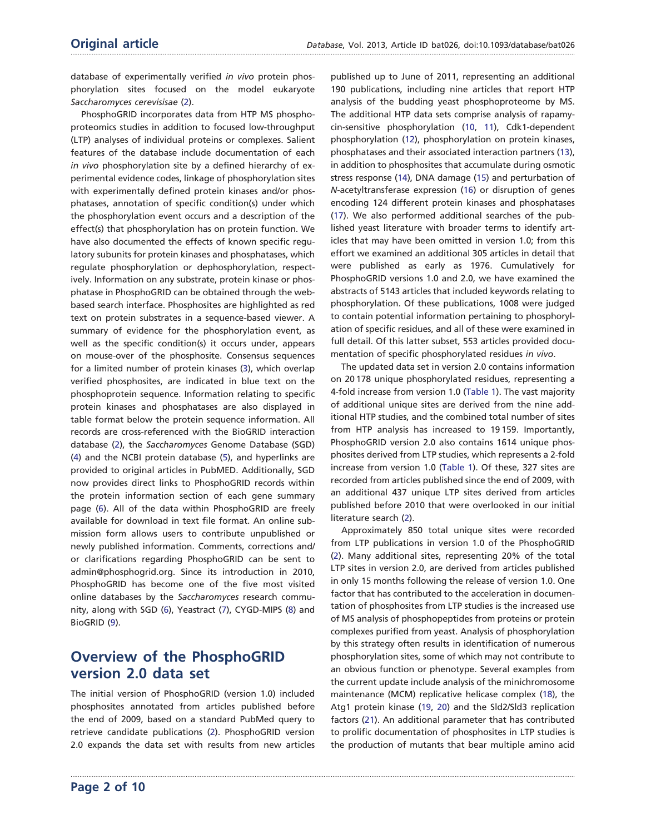database of experimentally verified in vivo protein phosphorylation sites focused on the model eukaryote Saccharomyces cerevisisae [\(2\)](#page-8-0).

PhosphoGRID incorporates data from HTP MS phosphoproteomics studies in addition to focused low-throughput (LTP) analyses of individual proteins or complexes. Salient features of the database include documentation of each in vivo phosphorylation site by a defined hierarchy of experimental evidence codes, linkage of phosphorylation sites with experimentally defined protein kinases and/or phosphatases, annotation of specific condition(s) under which the phosphorylation event occurs and a description of the effect(s) that phosphorylation has on protein function. We have also documented the effects of known specific regulatory subunits for protein kinases and phosphatases, which regulate phosphorylation or dephosphorylation, respectively. Information on any substrate, protein kinase or phosphatase in PhosphoGRID can be obtained through the webbased search interface. Phosphosites are highlighted as red text on protein substrates in a sequence-based viewer. A summary of evidence for the phosphorylation event, as well as the specific condition(s) it occurs under, appears on mouse-over of the phosphosite. Consensus sequences for a limited number of protein kinases [\(3](#page-8-0)), which overlap verified phosphosites, are indicated in blue text on the phosphoprotein sequence. Information relating to specific protein kinases and phosphatases are also displayed in table format below the protein sequence information. All records are cross-referenced with the BioGRID interaction database ([2](#page-8-0)), the Saccharomyces Genome Database (SGD) ([4](#page-8-0)) and the NCBI protein database [\(5\)](#page-8-0), and hyperlinks are provided to original articles in PubMED. Additionally, SGD now provides direct links to PhosphoGRID records within the protein information section of each gene summary page [\(6](#page-8-0)). All of the data within PhosphoGRID are freely available for download in text file format. An online submission form allows users to contribute unpublished or newly published information. Comments, corrections and/ or clarifications regarding PhosphoGRID can be sent to admin@phosphogrid.org. Since its introduction in 2010, PhosphoGRID has become one of the five most visited online databases by the Saccharomyces research community, along with SGD [\(6\)](#page-8-0), Yeastract [\(7\)](#page-8-0), CYGD-MIPS [\(8](#page-8-0)) and BioGRID ([9](#page-8-0)).

# Overview of the PhosphoGRID version 2.0 data set

The initial version of PhosphoGRID (version 1.0) included phosphosites annotated from articles published before the end of 2009, based on a standard PubMed query to retrieve candidate publications [\(2\)](#page-8-0). PhosphoGRID version 2.0 expands the data set with results from new articles

.............................................................................................................................................................................................................................................................................................

published up to June of 2011, representing an additional 190 publications, including nine articles that report HTP analysis of the budding yeast phosphoproteome by MS. The additional HTP data sets comprise analysis of rapamycin-sensitive phosphorylation ([10](#page-8-0), [11](#page-8-0)), Cdk1-dependent phosphorylation ([12](#page-8-0)), phosphorylation on protein kinases, phosphatases and their associated interaction partners ([13](#page-8-0)), in addition to phosphosites that accumulate during osmotic stress response [\(14](#page-8-0)), DNA damage ([15](#page-8-0)) and perturbation of N-acetyltransferase expression [\(16\)](#page-8-0) or disruption of genes encoding 124 different protein kinases and phosphatases [\(17\)](#page-8-0). We also performed additional searches of the published yeast literature with broader terms to identify articles that may have been omitted in version 1.0; from this effort we examined an additional 305 articles in detail that were published as early as 1976. Cumulatively for PhosphoGRID versions 1.0 and 2.0, we have examined the abstracts of 5143 articles that included keywords relating to phosphorylation. Of these publications, 1008 were judged to contain potential information pertaining to phosphorylation of specific residues, and all of these were examined in full detail. Of this latter subset, 553 articles provided documentation of specific phosphorylated residues in vivo.

The updated data set in version 2.0 contains information on 20 178 unique phosphorylated residues, representing a 4-fold increase from version 1.0 ([Table 1](#page-2-0)). The vast majority of additional unique sites are derived from the nine additional HTP studies, and the combined total number of sites from HTP analysis has increased to 19 159. Importantly, PhosphoGRID version 2.0 also contains 1614 unique phosphosites derived from LTP studies, which represents a 2-fold increase from version 1.0 [\(Table 1](#page-2-0)). Of these, 327 sites are recorded from articles published since the end of 2009, with an additional 437 unique LTP sites derived from articles published before 2010 that were overlooked in our initial literature search [\(2](#page-8-0)).

Approximately 850 total unique sites were recorded from LTP publications in version 1.0 of the PhosphoGRID [\(2](#page-8-0)). Many additional sites, representing 20% of the total LTP sites in version 2.0, are derived from articles published in only 15 months following the release of version 1.0. One factor that has contributed to the acceleration in documentation of phosphosites from LTP studies is the increased use of MS analysis of phosphopeptides from proteins or protein complexes purified from yeast. Analysis of phosphorylation by this strategy often results in identification of numerous phosphorylation sites, some of which may not contribute to an obvious function or phenotype. Several examples from the current update include analysis of the minichromosome maintenance (MCM) replicative helicase complex [\(18\)](#page-8-0), the Atg1 protein kinase [\(19,](#page-8-0) [20\)](#page-8-0) and the Sld2/Sld3 replication factors ([21](#page-8-0)). An additional parameter that has contributed to prolific documentation of phosphosites in LTP studies is the production of mutants that bear multiple amino acid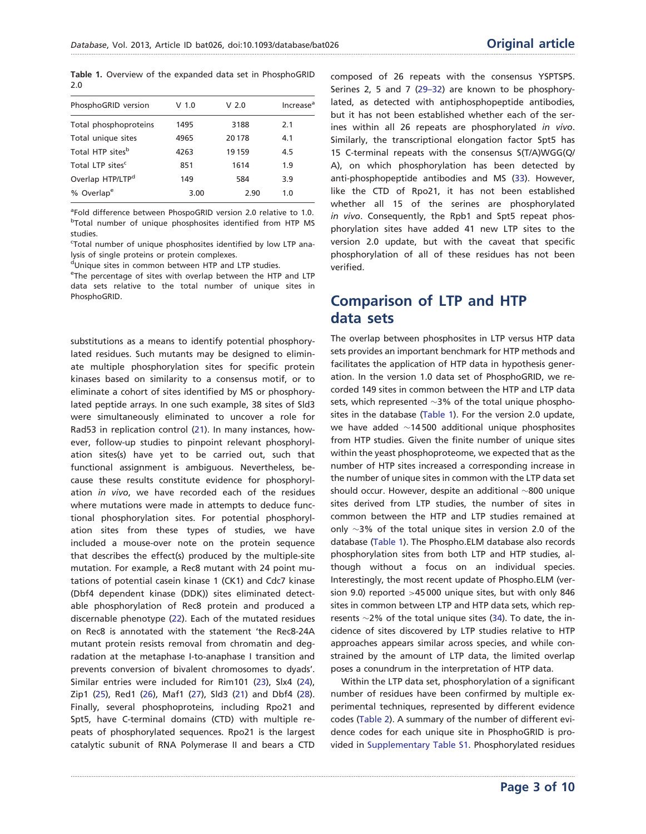<span id="page-2-0"></span>Table 1. Overview of the expanded data set in PhosphoGRID 2.0

| PhosphoGRID version          | V 1.0 | V <sub>2.0</sub> | Increase <sup>a</sup> |
|------------------------------|-------|------------------|-----------------------|
| Total phosphoproteins        | 1495  | 3188             | 2.1                   |
| Total unique sites           | 4965  | 20178            | 4.1                   |
| Total HTP sites <sup>b</sup> | 4263  | 19 15 9          | 4.5                   |
| Total LTP sites <sup>c</sup> | 851   | 1614             | 1.9                   |
| Overlap HTP/LTP <sup>d</sup> | 149   | 584              | 3.9                   |
| % Overlap <sup>e</sup>       | 3.00  | 2.90             | 1.0                   |
|                              |       |                  |                       |

<sup>a</sup>Fold difference between PhospoGRID version 2.0 relative to 1.0. <sup>b</sup>Total number of unique phosphosites identified from HTP MS studies.

<sup>c</sup>Total number of unique phosphosites identified by low LTP analysis of single proteins or protein complexes.

dUnique sites in common between HTP and LTP studies.

<sup>e</sup>The percentage of sites with overlap between the HTP and LTP data sets relative to the total number of unique sites in PhosphoGRID.

substitutions as a means to identify potential phosphorylated residues. Such mutants may be designed to eliminate multiple phosphorylation sites for specific protein kinases based on similarity to a consensus motif, or to eliminate a cohort of sites identified by MS or phosphorylated peptide arrays. In one such example, 38 sites of Sld3 were simultaneously eliminated to uncover a role for Rad53 in replication control [\(21\)](#page-8-0). In many instances, however, follow-up studies to pinpoint relevant phosphorylation sites(s) have yet to be carried out, such that functional assignment is ambiguous. Nevertheless, because these results constitute evidence for phosphorylation *in vivo*, we have recorded each of the residues where mutations were made in attempts to deduce functional phosphorylation sites. For potential phosphorylation sites from these types of studies, we have included a mouse-over note on the protein sequence that describes the effect(s) produced by the multiple-site mutation. For example, a Rec8 mutant with 24 point mutations of potential casein kinase 1 (CK1) and Cdc7 kinase (Dbf4 dependent kinase (DDK)) sites eliminated detectable phosphorylation of Rec8 protein and produced a discernable phenotype ([22](#page-8-0)). Each of the mutated residues on Rec8 is annotated with the statement 'the Rec8-24A mutant protein resists removal from chromatin and degradation at the metaphase I-to-anaphase I transition and prevents conversion of bivalent chromosomes to dyads'. Similar entries were included for Rim101 ([23](#page-8-0)), Slx4 [\(24\)](#page-8-0), Zip1 ([25](#page-8-0)), Red1 ([26\)](#page-8-0), Maf1 [\(27\)](#page-8-0), Sld3 [\(21](#page-8-0)) and Dbf4 [\(28\)](#page-8-0). Finally, several phosphoproteins, including Rpo21 and Spt5, have C-terminal domains (CTD) with multiple repeats of phosphorylated sequences. Rpo21 is the largest catalytic subunit of RNA Polymerase II and bears a CTD

composed of 26 repeats with the consensus YSPTSPS. Serines 2, 5 and 7 [\(29–32](#page-8-0)) are known to be phosphorylated, as detected with antiphosphopeptide antibodies, but it has not been established whether each of the serines within all 26 repeats are phosphorylated in vivo. Similarly, the transcriptional elongation factor Spt5 has 15 C-terminal repeats with the consensus S(T/A)WGG(Q/ A), on which phosphorylation has been detected by anti-phosphopeptide antibodies and MS [\(33\)](#page-9-0). However, like the CTD of Rpo21, it has not been established whether all 15 of the serines are phosphorylated in vivo. Consequently, the Rpb1 and Spt5 repeat phosphorylation sites have added 41 new LTP sites to the version 2.0 update, but with the caveat that specific phosphorylation of all of these residues has not been verified.

# Comparison of LTP and HTP data sets

The overlap between phosphosites in LTP versus HTP data sets provides an important benchmark for HTP methods and facilitates the application of HTP data in hypothesis generation. In the version 1.0 data set of PhosphoGRID, we recorded 149 sites in common between the HTP and LTP data sets, which represented  ${\sim}3\%$  of the total unique phosphosites in the database (Table 1). For the version 2.0 update, we have added  $\sim$ 14500 additional unique phosphosites from HTP studies. Given the finite number of unique sites within the yeast phosphoproteome, we expected that as the number of HTP sites increased a corresponding increase in the number of unique sites in common with the LTP data set should occur. However, despite an additional  $\sim$ 800 unique sites derived from LTP studies, the number of sites in common between the HTP and LTP studies remained at only  $\sim$ 3% of the total unique sites in version 2.0 of the database (Table 1). The Phospho.ELM database also records phosphorylation sites from both LTP and HTP studies, although without a focus on an individual species. Interestingly, the most recent update of Phospho.ELM (version 9.0) reported >45 000 unique sites, but with only 846 sites in common between LTP and HTP data sets, which represents  $\sim$ 2% of the total unique sites ([34](#page-9-0)). To date, the incidence of sites discovered by LTP studies relative to HTP approaches appears similar across species, and while constrained by the amount of LTP data, the limited overlap poses a conundrum in the interpretation of HTP data.

Within the LTP data set, phosphorylation of a significant number of residues have been confirmed by multiple experimental techniques, represented by different evidence codes ([Table 2](#page-3-0)). A summary of the number of different evidence codes for each unique site in PhosphoGRID is provided in [Supplementary Table S1](http://database.oxfordjournals.org/lookup/suppl/doi:10.1093/database/bat026/-/DC1). Phosphorylated residues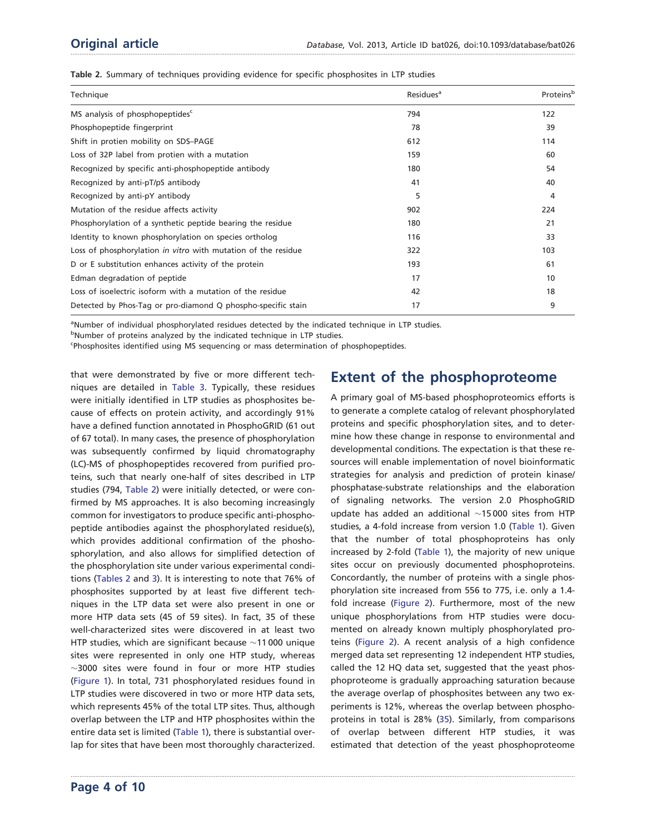<span id="page-3-0"></span>

|  |  | Table 2. Summary of techniques providing evidence for specific phosphosites in LTP studies |  |  |  |  |  |
|--|--|--------------------------------------------------------------------------------------------|--|--|--|--|--|
|  |  |                                                                                            |  |  |  |  |  |

| Technique                                                     | Residues <sup>a</sup> | Proteins <sup>b</sup> |
|---------------------------------------------------------------|-----------------------|-----------------------|
| MS analysis of phosphopeptides <sup>c</sup>                   | 794                   | 122                   |
| Phosphopeptide fingerprint                                    | 78                    | 39                    |
| Shift in protien mobility on SDS-PAGE                         | 612                   | 114                   |
| Loss of 32P label from protien with a mutation                | 159                   | 60                    |
| Recognized by specific anti-phosphopeptide antibody           | 180                   | 54                    |
| Recognized by anti-pT/pS antibody                             | 41                    | 40                    |
| Recognized by anti-pY antibody                                | 5                     | 4                     |
| Mutation of the residue affects activity                      | 902                   | 224                   |
| Phosphorylation of a synthetic peptide bearing the residue    | 180                   | 21                    |
| Identity to known phosphorylation on species ortholog         | 116                   | 33                    |
| Loss of phosphorylation in vitro with mutation of the residue | 322                   | 103                   |
| D or E substitution enhances activity of the protein          | 193                   | 61                    |
| Edman degradation of peptide                                  | 17                    | 10                    |
| Loss of isoelectric isoform with a mutation of the residue    | 42                    | 18                    |
| Detected by Phos-Tag or pro-diamond Q phospho-specific stain  | 17                    | 9                     |

.............................................................................................................................................................................................................................................................................................

aNumber of individual phosphorylated residues detected by the indicated technique in LTP studies.

<sup>b</sup>Number of proteins analyzed by the indicated technique in LTP studies.

Phosphosites identified using MS sequencing or mass determination of phosphopeptides.

that were demonstrated by five or more different techniques are detailed in [Table 3](#page-4-0). Typically, these residues were initially identified in LTP studies as phosphosites because of effects on protein activity, and accordingly 91% have a defined function annotated in PhosphoGRID (61 out of 67 total). In many cases, the presence of phosphorylation was subsequently confirmed by liquid chromatography (LC)-MS of phosphopeptides recovered from purified proteins, such that nearly one-half of sites described in LTP studies (794, Table 2) were initially detected, or were confirmed by MS approaches. It is also becoming increasingly common for investigators to produce specific anti-phosphopeptide antibodies against the phosphorylated residue(s), which provides additional confirmation of the phoshosphorylation, and also allows for simplified detection of the phosphorylation site under various experimental conditions (Tables 2 and [3\)](#page-4-0). It is interesting to note that 76% of phosphosites supported by at least five different techniques in the LTP data set were also present in one or more HTP data sets (45 of 59 sites). In fact, 35 of these well-characterized sites were discovered in at least two HTP studies, which are significant because  $\sim$ 11000 unique sites were represented in only one HTP study, whereas  $\sim$ 3000 sites were found in four or more HTP studies ([Figure 1\)](#page-4-0). In total, 731 phosphorylated residues found in LTP studies were discovered in two or more HTP data sets, which represents 45% of the total LTP sites. Thus, although overlap between the LTP and HTP phosphosites within the entire data set is limited ([Table 1](#page-2-0)), there is substantial overlap for sites that have been most thoroughly characterized.

# Extent of the phosphoproteome

A primary goal of MS-based phosphoproteomics efforts is to generate a complete catalog of relevant phosphorylated proteins and specific phosphorylation sites, and to determine how these change in response to environmental and developmental conditions. The expectation is that these resources will enable implementation of novel bioinformatic strategies for analysis and prediction of protein kinase/ phosphatase-substrate relationships and the elaboration of signaling networks. The version 2.0 PhosphoGRID update has added an additional  $\sim$ 15000 sites from HTP studies, a 4-fold increase from version 1.0 ([Table 1\)](#page-2-0). Given that the number of total phosphoproteins has only increased by 2-fold ([Table 1](#page-2-0)), the majority of new unique sites occur on previously documented phosphoproteins. Concordantly, the number of proteins with a single phosphorylation site increased from 556 to 775, i.e. only a 1.4 fold increase [\(Figure 2](#page-4-0)). Furthermore, most of the new unique phosphorylations from HTP studies were documented on already known multiply phosphorylated proteins ([Figure 2\)](#page-4-0). A recent analysis of a high confidence merged data set representing 12 independent HTP studies, called the 12 HQ data set, suggested that the yeast phosphoproteome is gradually approaching saturation because the average overlap of phosphosites between any two experiments is 12%, whereas the overlap between phosphoproteins in total is 28% ([35\)](#page-9-0). Similarly, from comparisons of overlap between different HTP studies, it was estimated that detection of the yeast phosphoproteome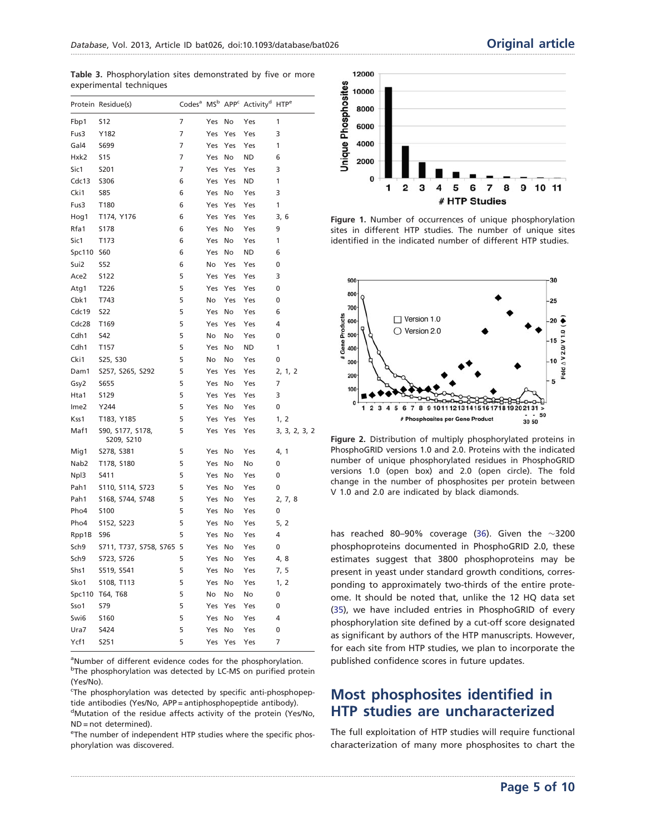<span id="page-4-0"></span>Table 3. Phosphorylation sites demonstrated by five or more experimental techniques

|                  | Protein Residue(s)             | Codes <sup>a</sup> | MS <sup>b</sup> | APP <sup>c</sup> | Activity <sup>d</sup> | <b>HTP<sup>e</sup></b> |
|------------------|--------------------------------|--------------------|-----------------|------------------|-----------------------|------------------------|
| Fbp1             | <b>S12</b>                     | $\overline{7}$     | Yes             | No               | Yes                   | 1                      |
| Fus3             | Y182                           | 7                  | Yes             | Yes              | Yes                   | 3                      |
| Gal4             | S699                           | $\overline{7}$     | Yes             | Yes              | Yes                   | 1                      |
| Hxk2             | <b>S15</b>                     | 7                  | Yes             | No               | ND                    | 6                      |
| Sic1             | S201                           | 7                  | Yes             | Yes              | Yes                   | 3                      |
| Cdc13            | <b>S306</b>                    | 6                  | Yes             | Yes              | ND                    | 1                      |
| Cki1             | <b>S85</b>                     | 6                  | Yes             | No               | Yes                   | 3                      |
| Fus3             | T180                           | 6                  | Yes             | Yes              | Yes                   | 1                      |
| Hog1             | T174, Y176                     | 6                  | Yes             | Yes              | Yes                   | 3, 6                   |
| Rfa1             | S178                           | 6                  | Yes             | No               | Yes                   | 9                      |
| Sic1             | T173                           | 6                  | Yes             | No               | Yes                   | 1                      |
| Spc110           | <b>S60</b>                     | 6                  | Yes             | No               | ND                    | 6                      |
| Sui2             | <b>S52</b>                     | 6                  | No              | Yes              | Yes                   | 0                      |
| Ace2             | S122                           | 5                  | Yes             | Yes              | Yes                   | 3                      |
| Atg1             | T226                           | 5                  | Yes             | Yes              | Yes                   | 0                      |
| Cbk1             | T743                           | 5                  | No              | Yes              | Yes                   | 0                      |
| Cdc19            | <b>S22</b>                     | 5                  | Yes             | No               | Yes                   | 6                      |
| Cdc28            | T169                           | 5                  | Yes             | Yes              | Yes                   | 4                      |
| Cdh1             | <b>S42</b>                     | 5                  | No              | No               | Yes                   | 0                      |
| Cdh1             | T157                           | 5                  | Yes             | No               | ND                    | 1                      |
| Cki1             | S25, S30                       | 5                  | No              | No               | Yes                   | 0                      |
| Dam1             | S257, S265, S292               | 5                  | Yes             | Yes              | Yes                   | 2, 1, 2                |
| Gsy2             | S655                           | 5                  | Yes             | No               | Yes                   | 7                      |
| Hta1             | S129                           | 5                  | Yes             | Yes              | Yes                   | 3                      |
| Ime <sub>2</sub> | Y244                           | 5                  | Yes             | No               | Yes                   | 0                      |
| Kss1             | T183, Y185                     | 5                  | Yes             | Yes              | Yes                   | 1, 2                   |
| Maf1             | S90, S177, S178,<br>S209, S210 | 5                  | Yes             | Yes              | Yes                   | 3, 3, 2, 3, 2          |
| Mig1             | S278, S381                     | 5                  | Yes             | No               | Yes                   | 4, 1                   |
| Nab <sub>2</sub> | T178, S180                     | 5                  | Yes             | No               | No                    | 0                      |
| Npl3             | S411                           | 5                  | Yes             | No               | Yes                   | 0                      |
| Pah1             | S110, S114, S723               | 5                  | Yes             | No               | Yes                   | 0                      |
| Pah1             | S168, S744, S748               | 5                  | Yes             | No               | Yes                   | 2, 7, 8                |
| Pho4             | <b>S100</b>                    | 5                  | Yes             | No               | Yes                   | 0                      |
| Pho4             | S152, S223                     | 5                  | Yes             | No               | Yes                   | 5, 2                   |
| Rpp1B            | <b>S96</b>                     | 5                  | Yes             | No               | Yes                   | 4                      |
| Sch9             | S711, T737, S758, S765         | 5                  | Yes             | No               | Yes                   | 0                      |
| Sch <sub>9</sub> | S723, S726                     | 5                  | Yes             | No               | Yes                   | 4,8                    |
| Shs1             | S519, S541                     | 5                  | Yes             | No               | Yes                   | 7, 5                   |
| Sko1             | S108, T113                     | 5                  | Yes             | No               | Yes                   | 1, 2                   |
| Spc110           | T64, T68                       | 5                  | No              | No               | No                    | 0                      |
| Sso1             | <b>S79</b>                     | 5                  | Yes             | Yes              | Yes                   | 0                      |
| Swi6             | <b>S160</b>                    | 5                  | Yes             | No               | Yes                   | 4                      |
| Ura7             | S424                           | 5                  | Yes             | No               | Yes                   | 0                      |
| Ycf1             | S251                           | 5                  | Yes             | Yes              | Yes                   | 7                      |

<sup>a</sup>Number of different evidence codes for the phosphorylation. <sup>b</sup>The phosphorylation was detected by LC-MS on purified protein (Yes/No).

<sup>c</sup>The phosphorylation was detected by specific anti-phosphopeptide antibodies (Yes/No, APP = antiphosphopeptide antibody).

<sup>d</sup>Mutation of the residue affects activity of the protein (Yes/No, ND = not determined).

<sup>e</sup>The number of independent HTP studies where the specific phosphorylation was discovered.



Figure 1. Number of occurrences of unique phosphorylation sites in different HTP studies. The number of unique sites identified in the indicated number of different HTP studies.



Figure 2. Distribution of multiply phosphorylated proteins in PhosphoGRID versions 1.0 and 2.0. Proteins with the indicated number of unique phosphorylated residues in PhosphoGRID versions 1.0 (open box) and 2.0 (open circle). The fold change in the number of phosphosites per protein between V 1.0 and 2.0 are indicated by black diamonds.

has reached 80–90% coverage ([36](#page-9-0)). Given the  $\sim$ 3200 phosphoproteins documented in PhosphoGRID 2.0, these estimates suggest that 3800 phosphoproteins may be present in yeast under standard growth conditions, corresponding to approximately two-thirds of the entire proteome. It should be noted that, unlike the 12 HQ data set [\(35\)](#page-9-0), we have included entries in PhosphoGRID of every phosphorylation site defined by a cut-off score designated as significant by authors of the HTP manuscripts. However, for each site from HTP studies, we plan to incorporate the published confidence scores in future updates.

# Most phosphosites identified in HTP studies are uncharacterized

.............................................................................................................................................................................................................................................................................................

The full exploitation of HTP studies will require functional characterization of many more phosphosites to chart the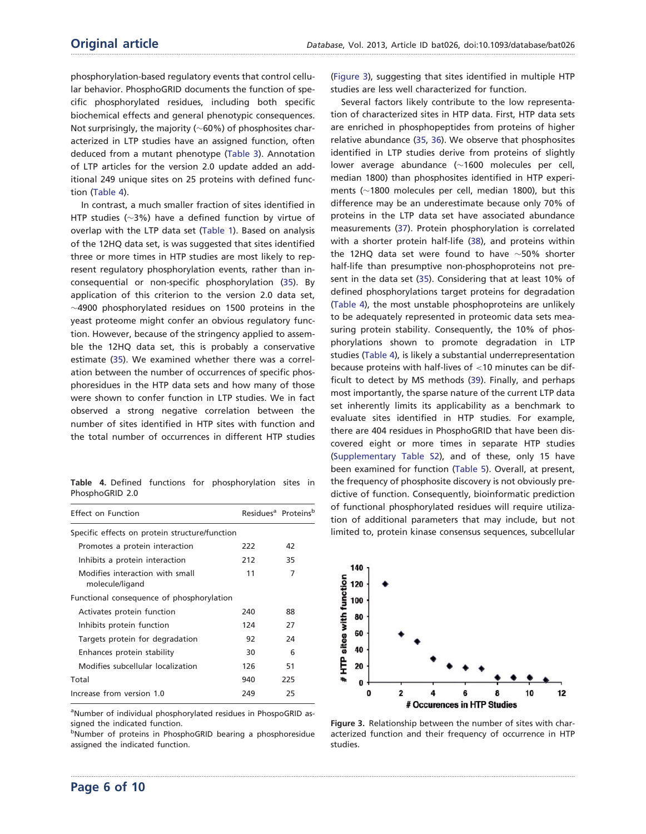phosphorylation-based regulatory events that control cellular behavior. PhosphoGRID documents the function of specific phosphorylated residues, including both specific biochemical effects and general phenotypic consequences. Not surprisingly, the majority ( $\sim$ 60%) of phosphosites characterized in LTP studies have an assigned function, often deduced from a mutant phenotype ([Table 3](#page-4-0)). Annotation of LTP articles for the version 2.0 update added an additional 249 unique sites on 25 proteins with defined function (Table 4).

In contrast, a much smaller fraction of sites identified in HTP studies ( $\sim$ 3%) have a defined function by virtue of overlap with the LTP data set ([Table 1](#page-2-0)). Based on analysis of the 12HQ data set, is was suggested that sites identified three or more times in HTP studies are most likely to represent regulatory phosphorylation events, rather than inconsequential or non-specific phosphorylation ([35\)](#page-9-0). By application of this criterion to the version 2.0 data set,  $\sim$ 4900 phosphorylated residues on 1500 proteins in the yeast proteome might confer an obvious regulatory function. However, because of the stringency applied to assemble the 12HQ data set, this is probably a conservative estimate [\(35\)](#page-9-0). We examined whether there was a correlation between the number of occurrences of specific phosphoresidues in the HTP data sets and how many of those were shown to confer function in LTP studies. We in fact observed a strong negative correlation between the number of sites identified in HTP sites with function and the total number of occurrences in different HTP studies

Table 4. Defined functions for phosphorylation sites in PhosphoGRID 2.0

| Effect on Function                                 |     | Residues <sup>a</sup> Proteins <sup>b</sup> |  |  |  |
|----------------------------------------------------|-----|---------------------------------------------|--|--|--|
| Specific effects on protein structure/function     |     |                                             |  |  |  |
| Promotes a protein interaction                     | 222 | 42                                          |  |  |  |
| Inhibits a protein interaction                     | 212 | 35                                          |  |  |  |
| Modifies interaction with small<br>molecule/ligand | 11  | 7                                           |  |  |  |
| Functional consequence of phosphorylation          |     |                                             |  |  |  |
| Activates protein function                         | 240 | 88                                          |  |  |  |
| Inhibits protein function                          | 124 | 27                                          |  |  |  |
| Targets protein for degradation                    | 92  | 24                                          |  |  |  |
| Enhances protein stability                         | 30  | 6                                           |  |  |  |
| Modifies subcellular localization                  | 126 | 51                                          |  |  |  |
| Total                                              | 940 | 225                                         |  |  |  |
| Increase from version 1.0                          | 249 | 25                                          |  |  |  |

<sup>a</sup>Number of individual phosphorylated residues in PhospoGRID assigned the indicated function.

<sup>b</sup>Number of proteins in PhosphoGRID bearing a phosphoresidue assigned the indicated function.

.............................................................................................................................................................................................................................................................................................

(Figure 3), suggesting that sites identified in multiple HTP studies are less well characterized for function.

Several factors likely contribute to the low representation of characterized sites in HTP data. First, HTP data sets are enriched in phosphopeptides from proteins of higher relative abundance ([35,](#page-9-0) [36](#page-9-0)). We observe that phosphosites identified in LTP studies derive from proteins of slightly lower average abundance  $(\sim1600$  molecules per cell, median 1800) than phosphosites identified in HTP experiments ( $\sim$ 1800 molecules per cell, median 1800), but this difference may be an underestimate because only 70% of proteins in the LTP data set have associated abundance measurements [\(37\)](#page-9-0). Protein phosphorylation is correlated with a shorter protein half-life ([38\)](#page-9-0), and proteins within the 12HQ data set were found to have  $\sim$ 50% shorter half-life than presumptive non-phosphoproteins not present in the data set [\(35\)](#page-9-0). Considering that at least 10% of defined phosphorylations target proteins for degradation (Table 4), the most unstable phosphoproteins are unlikely to be adequately represented in proteomic data sets measuring protein stability. Consequently, the 10% of phosphorylations shown to promote degradation in LTP studies (Table 4), is likely a substantial underrepresentation because proteins with half-lives of <10 minutes can be difficult to detect by MS methods ([39\)](#page-9-0). Finally, and perhaps most importantly, the sparse nature of the current LTP data set inherently limits its applicability as a benchmark to evaluate sites identified in HTP studies. For example, there are 404 residues in PhosphoGRID that have been discovered eight or more times in separate HTP studies [\(Supplementary Table S2\)](http://database.oxfordjournals.org/lookup/suppl/doi:10.1093/database/bat026/-/DC1), and of these, only 15 have been examined for function ([Table 5\)](#page-6-0). Overall, at present, the frequency of phosphosite discovery is not obviously predictive of function. Consequently, bioinformatic prediction of functional phosphorylated residues will require utilization of additional parameters that may include, but not limited to, protein kinase consensus sequences, subcellular



Figure 3. Relationship between the number of sites with characterized function and their frequency of occurrence in HTP studies.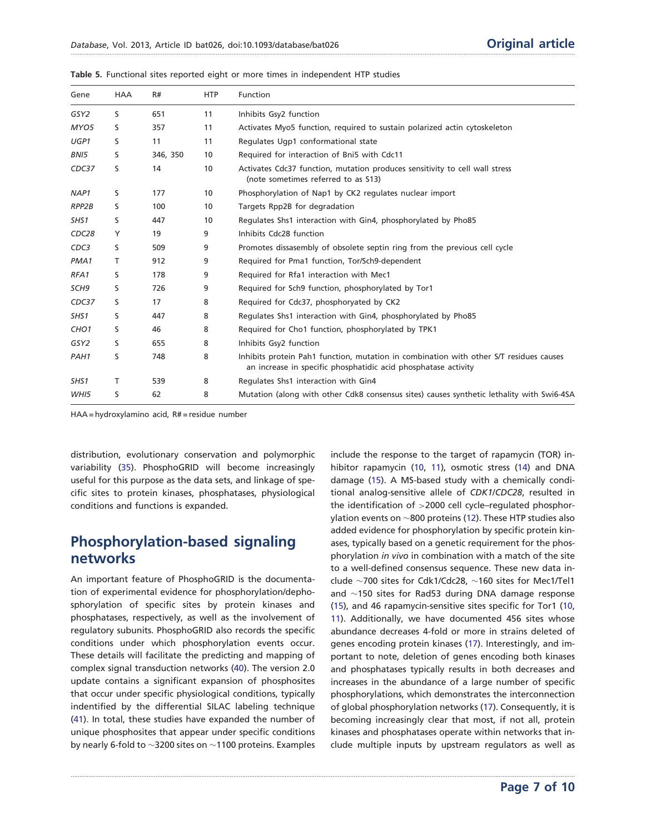| Gene              | <b>HAA</b> | R#       | <b>HTP</b> | <b>Function</b>                                                                                                                                          |
|-------------------|------------|----------|------------|----------------------------------------------------------------------------------------------------------------------------------------------------------|
| GSY2              | S          | 651      | 11         | Inhibits Gsy2 function                                                                                                                                   |
| MYO5              | s          | 357      | 11         | Activates Myo5 function, required to sustain polarized actin cytoskeleton                                                                                |
| UGP1              | S          | 11       | 11         | Regulates Ugp1 conformational state                                                                                                                      |
| BNI5              | S          | 346, 350 | 10         | Required for interaction of Bni5 with Cdc11                                                                                                              |
| CDC37             | S          | 14       | 10         | Activates Cdc37 function, mutation produces sensitivity to cell wall stress<br>(note sometimes referred to as \$13)                                      |
| NAP1              | S          | 177      | 10         | Phosphorylation of Nap1 by CK2 regulates nuclear import                                                                                                  |
| RPP2B             | S          | 100      | 10         | Targets Rpp2B for degradation                                                                                                                            |
| SHS1              | S          | 447      | 10         | Regulates Shs1 interaction with Gin4, phosphorylated by Pho85                                                                                            |
| CDC <sub>28</sub> | Y          | 19       | 9          | Inhibits Cdc28 function                                                                                                                                  |
| CDC3              | S          | 509      | 9          | Promotes dissasembly of obsolete septin ring from the previous cell cycle                                                                                |
| PMA1              | т          | 912      | 9          | Required for Pma1 function, Tor/Sch9-dependent                                                                                                           |
| RFA1              | S          | 178      | 9          | Required for Rfa1 interaction with Mec1                                                                                                                  |
| SCH9              | S          | 726      | 9          | Required for Sch9 function, phosphorylated by Tor1                                                                                                       |
| CDC37             | S          | 17       | 8          | Required for Cdc37, phosphoryated by CK2                                                                                                                 |
| SHS1              | S          | 447      | 8          | Regulates Shs1 interaction with Gin4, phosphorylated by Pho85                                                                                            |
| CHO <sub>1</sub>  | s          | 46       | 8          | Required for Cho1 function, phosphorylated by TPK1                                                                                                       |
| GSY <sub>2</sub>  | S          | 655      | 8          | Inhibits Gsy2 function                                                                                                                                   |
| PAH1              | S          | 748      | 8          | Inhibits protein Pah1 function, mutation in combination with other S/T residues causes<br>an increase in specific phosphatidic acid phosphatase activity |
| SHS1              | Τ          | 539      | 8          | Regulates Shs1 interaction with Gin4                                                                                                                     |
| WHI5              | S          | 62       | 8          | Mutation (along with other Cdk8 consensus sites) causes synthetic lethality with Swi6-4SA                                                                |

.............................................................................................................................................................................................................................................................................................

<span id="page-6-0"></span>Table 5. Functional sites reported eight or more times in independent HTP studies

HAA = hydroxylamino acid, R# = residue number

distribution, evolutionary conservation and polymorphic variability ([35](#page-9-0)). PhosphoGRID will become increasingly useful for this purpose as the data sets, and linkage of specific sites to protein kinases, phosphatases, physiological conditions and functions is expanded.

### Phosphorylation-based signaling networks

An important feature of PhosphoGRID is the documentation of experimental evidence for phosphorylation/dephosphorylation of specific sites by protein kinases and phosphatases, respectively, as well as the involvement of regulatory subunits. PhosphoGRID also records the specific conditions under which phosphorylation events occur. These details will facilitate the predicting and mapping of complex signal transduction networks ([40](#page-9-0)). The version 2.0 update contains a significant expansion of phosphosites that occur under specific physiological conditions, typically indentified by the differential SILAC labeling technique ([41](#page-9-0)). In total, these studies have expanded the number of unique phosphosites that appear under specific conditions by nearly 6-fold to  $\sim$ 3200 sites on  $\sim$ 1100 proteins. Examples

include the response to the target of rapamycin (TOR) inhibitor rapamycin ([10,](#page-8-0) [11](#page-8-0)), osmotic stress ([14](#page-8-0)) and DNA damage [\(15](#page-8-0)). A MS-based study with a chemically conditional analog-sensitive allele of CDK1/CDC28, resulted in the identification of >2000 cell cycle–regulated phosphorylation events on  $\sim$ 800 proteins [\(12\)](#page-8-0). These HTP studies also added evidence for phosphorylation by specific protein kinases, typically based on a genetic requirement for the phosphorylation in vivo in combination with a match of the site to a well-defined consensus sequence. These new data include  $\sim$ 700 sites for Cdk1/Cdc28,  $\sim$ 160 sites for Mec1/Tel1 and  $\sim$ 150 sites for Rad53 during DNA damage response [\(15\)](#page-8-0), and 46 rapamycin-sensitive sites specific for Tor1 ([10,](#page-8-0) [11\)](#page-8-0). Additionally, we have documented 456 sites whose abundance decreases 4-fold or more in strains deleted of genes encoding protein kinases ([17](#page-8-0)). Interestingly, and important to note, deletion of genes encoding both kinases and phosphatases typically results in both decreases and increases in the abundance of a large number of specific phosphorylations, which demonstrates the interconnection of global phosphorylation networks [\(17\)](#page-8-0). Consequently, it is becoming increasingly clear that most, if not all, protein kinases and phosphatases operate within networks that include multiple inputs by upstream regulators as well as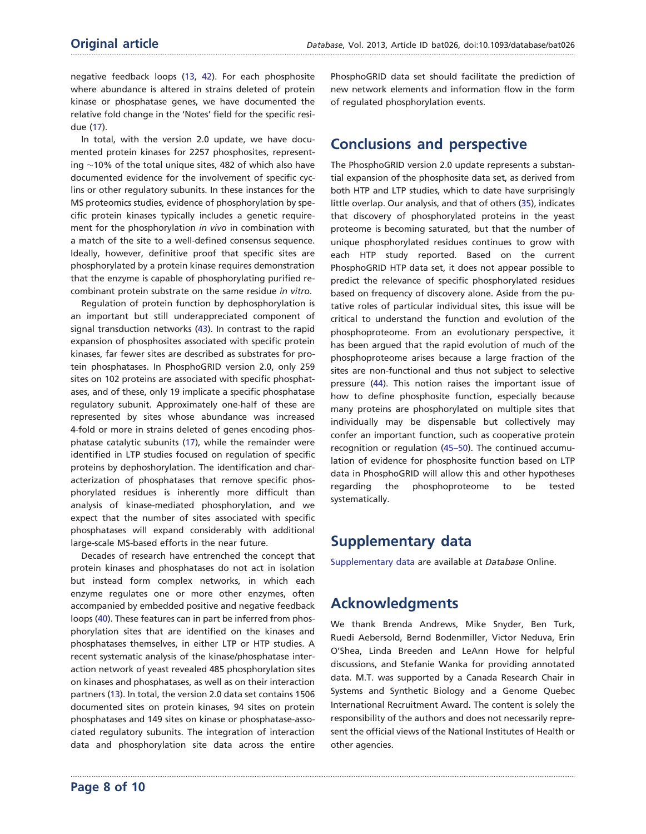negative feedback loops [\(13](#page-8-0), [42\)](#page-9-0). For each phosphosite where abundance is altered in strains deleted of protein kinase or phosphatase genes, we have documented the relative fold change in the 'Notes' field for the specific residue ([17\)](#page-8-0).

In total, with the version 2.0 update, we have documented protein kinases for 2257 phosphosites, representing  $\sim$ 10% of the total unique sites, 482 of which also have documented evidence for the involvement of specific cyclins or other regulatory subunits. In these instances for the MS proteomics studies, evidence of phosphorylation by specific protein kinases typically includes a genetic requirement for the phosphorylation in vivo in combination with a match of the site to a well-defined consensus sequence. Ideally, however, definitive proof that specific sites are phosphorylated by a protein kinase requires demonstration that the enzyme is capable of phosphorylating purified recombinant protein substrate on the same residue in vitro.

Regulation of protein function by dephosphorylation is an important but still underappreciated component of signal transduction networks ([43\)](#page-9-0). In contrast to the rapid expansion of phosphosites associated with specific protein kinases, far fewer sites are described as substrates for protein phosphatases. In PhosphoGRID version 2.0, only 259 sites on 102 proteins are associated with specific phosphatases, and of these, only 19 implicate a specific phosphatase regulatory subunit. Approximately one-half of these are represented by sites whose abundance was increased 4-fold or more in strains deleted of genes encoding phosphatase catalytic subunits ([17](#page-8-0)), while the remainder were identified in LTP studies focused on regulation of specific proteins by dephoshorylation. The identification and characterization of phosphatases that remove specific phosphorylated residues is inherently more difficult than analysis of kinase-mediated phosphorylation, and we expect that the number of sites associated with specific phosphatases will expand considerably with additional large-scale MS-based efforts in the near future.

Decades of research have entrenched the concept that protein kinases and phosphatases do not act in isolation but instead form complex networks, in which each enzyme regulates one or more other enzymes, often accompanied by embedded positive and negative feedback loops ([40](#page-9-0)). These features can in part be inferred from phosphorylation sites that are identified on the kinases and phosphatases themselves, in either LTP or HTP studies. A recent systematic analysis of the kinase/phosphatase interaction network of yeast revealed 485 phosphorylation sites on kinases and phosphatases, as well as on their interaction partners [\(13\)](#page-8-0). In total, the version 2.0 data set contains 1506 documented sites on protein kinases, 94 sites on protein phosphatases and 149 sites on kinase or phosphatase-associated regulatory subunits. The integration of interaction data and phosphorylation site data across the entire PhosphoGRID data set should facilitate the prediction of new network elements and information flow in the form of regulated phosphorylation events.

# Conclusions and perspective

The PhosphoGRID version 2.0 update represents a substantial expansion of the phosphosite data set, as derived from both HTP and LTP studies, which to date have surprisingly little overlap. Our analysis, and that of others [\(35\)](#page-9-0), indicates that discovery of phosphorylated proteins in the yeast proteome is becoming saturated, but that the number of unique phosphorylated residues continues to grow with each HTP study reported. Based on the current PhosphoGRID HTP data set, it does not appear possible to predict the relevance of specific phosphorylated residues based on frequency of discovery alone. Aside from the putative roles of particular individual sites, this issue will be critical to understand the function and evolution of the phosphoproteome. From an evolutionary perspective, it has been argued that the rapid evolution of much of the phosphoproteome arises because a large fraction of the sites are non-functional and thus not subject to selective pressure ([44](#page-9-0)). This notion raises the important issue of how to define phosphosite function, especially because many proteins are phosphorylated on multiple sites that individually may be dispensable but collectively may confer an important function, such as cooperative protein recognition or regulation ([45–50\)](#page-9-0). The continued accumulation of evidence for phosphosite function based on LTP data in PhosphoGRID will allow this and other hypotheses regarding the phosphoproteome to be tested systematically.

# Supplementary data

[Supplementary data](http://database.oxfordjournals.org/lookup/suppl/doi:10.1093/database/bat026/-/DC1) are available at Database Online.

# Acknowledgments

.............................................................................................................................................................................................................................................................................................

We thank Brenda Andrews, Mike Snyder, Ben Turk, Ruedi Aebersold, Bernd Bodenmiller, Victor Neduva, Erin O'Shea, Linda Breeden and LeAnn Howe for helpful discussions, and Stefanie Wanka for providing annotated data. M.T. was supported by a Canada Research Chair in Systems and Synthetic Biology and a Genome Quebec International Recruitment Award. The content is solely the responsibility of the authors and does not necessarily represent the official views of the National Institutes of Health or other agencies.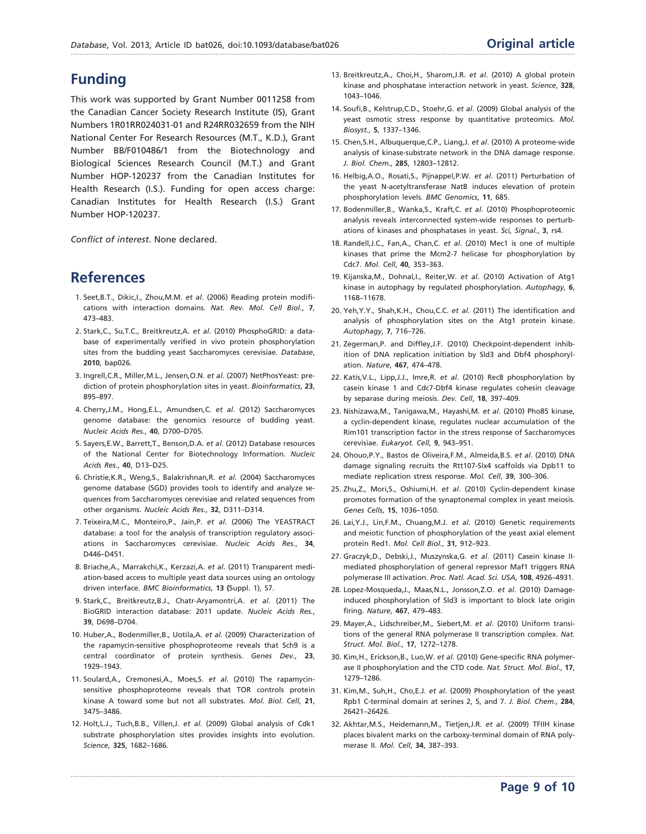# <span id="page-8-0"></span>Funding

This work was supported by Grant Number 0011258 from the Canadian Cancer Society Research Institute (IS), Grant Numbers 1R01RR024031-01 and R24RR032659 from the NIH National Center For Research Resources (M.T., K.D.), Grant Number BB/F010486/1 from the Biotechnology and Biological Sciences Research Council (M.T.) and Grant Number HOP-120237 from the Canadian Institutes for Health Research (I.S.). Funding for open access charge: Canadian Institutes for Health Research (I.S.) Grant Number HOP-120237.

Conflict of interest. None declared.

# References

- 1. Seet,B.T., Dikic,I., Zhou,M.M. et al. (2006) Reading protein modifications with interaction domains. Nat. Rev. Mol. Cell Biol., 7, 473–483.
- 2. Stark,C., Su,T.C., Breitkreutz,A. et al. (2010) PhosphoGRID: a database of experimentally verified in vivo protein phosphorylation sites from the budding yeast Saccharomyces cerevisiae. Database, 2010, bap026.
- 3. Ingrell,C.R., Miller,M.L., Jensen,O.N. et al. (2007) NetPhosYeast: prediction of protein phosphorylation sites in yeast. Bioinformatics, 23, 895–897.
- 4. Cherry,J.M., Hong,E.L., Amundsen,C. et al. (2012) Saccharomyces genome database: the genomics resource of budding yeast. Nucleic Acids Res., 40, D700–D705.
- 5. Sayers,E.W., Barrett,T., Benson,D.A. et al. (2012) Database resources of the National Center for Biotechnology Information. Nucleic Acids Res., 40, D13–D25.
- 6. Christie,K.R., Weng,S., Balakrishnan,R. et al. (2004) Saccharomyces genome database (SGD) provides tools to identify and analyze sequences from Saccharomyces cerevisiae and related sequences from other organisms. Nucleic Acids Res., 32, D311–D314.
- 7. Teixeira,M.C., Monteiro,P., Jain,P. et al. (2006) The YEASTRACT database: a tool for the analysis of transcription regulatory associations in Saccharomyces cerevisiae. Nucleic Acids Res., 34, D446–D451.
- 8. Briache,A., Marrakchi,K., Kerzazi,A. et al. (2011) Transparent mediation-based access to multiple yeast data sources using an ontology driven interface. BMC Bioinformatics, 13 (Suppl. 1), S7.
- 9. Stark,C., Breitkreutz,B.J., Chatr-Aryamontri,A. et al. (2011) The BioGRID interaction database: 2011 update. Nucleic Acids Res., 39, D698–D704.
- 10. Huber,A., Bodenmiller,B., Uotila,A. et al. (2009) Characterization of the rapamycin-sensitive phosphoproteome reveals that Sch9 is a central coordinator of protein synthesis. Genes Dev., 23, 1929–1943.
- 11. Soulard,A., Cremonesi,A., Moes,S. et al. (2010) The rapamycinsensitive phosphoproteome reveals that TOR controls protein kinase A toward some but not all substrates. Mol. Biol. Cell, 21, 3475–3486.
- 12. Holt,L.J., Tuch,B.B., Villen,J. et al. (2009) Global analysis of Cdk1 substrate phosphorylation sites provides insights into evolution. Science, 325, 1682–1686.

- 13. Breitkreutz,A., Choi,H., Sharom,J.R. et al. (2010) A global protein kinase and phosphatase interaction network in yeast. Science, 328, 1043–1046.
- 14. Soufi,B., Kelstrup,C.D., Stoehr,G. et al. (2009) Global analysis of the yeast osmotic stress response by quantitative proteomics. Mol. Biosyst., 5, 1337–1346.
- 15. Chen,S.H., Albuquerque,C.P., Liang,J. et al. (2010) A proteome-wide analysis of kinase-substrate network in the DNA damage response. J. Biol. Chem., 285, 12803–12812.
- 16. Helbig,A.O., Rosati,S., Pijnappel,P.W. et al. (2011) Perturbation of the yeast N-acetyltransferase NatB induces elevation of protein phosphorylation levels. BMC Genomics, 11, 685.
- 17. Bodenmiller,B., Wanka,S., Kraft,C. et al. (2010) Phosphoproteomic analysis reveals interconnected system-wide responses to perturbations of kinases and phosphatases in yeast. Sci, Signal., 3, rs4.
- 18. Randell,J.C., Fan,A., Chan,C. et al. (2010) Mec1 is one of multiple kinases that prime the Mcm2-7 helicase for phosphorylation by Cdc7. Mol. Cell, 40, 353–363.
- 19. Kijanska,M., Dohnal,I., Reiter,W. et al. (2010) Activation of Atg1 kinase in autophagy by regulated phosphorylation. Autophagy, 6, 1168–11678.
- 20. Yeh,Y.Y., Shah,K.H., Chou,C.C. et al. (2011) The identification and analysis of phosphorylation sites on the Atg1 protein kinase. Autophagy, 7, 716–726.
- 21. Zegerman,P. and Diffley,J.F. (2010) Checkpoint-dependent inhibition of DNA replication initiation by Sld3 and Dbf4 phosphorylation. Nature, 467, 474–478.
- 22. Katis,V.L., Lipp,J.J., Imre,R. et al. (2010) Rec8 phosphorylation by casein kinase 1 and Cdc7-Dbf4 kinase regulates cohesin cleavage by separase during meiosis. Dev. Cell, 18, 397–409.
- 23. Nishizawa,M., Tanigawa,M., Hayashi,M. et al. (2010) Pho85 kinase, a cyclin-dependent kinase, regulates nuclear accumulation of the Rim101 transcription factor in the stress response of Saccharomyces cerevisiae. Eukaryot. Cell, 9, 943–951.
- 24. Ohouo,P.Y., Bastos de Oliveira,F.M., Almeida,B.S. et al. (2010) DNA damage signaling recruits the Rtt107-Slx4 scaffolds via Dpb11 to mediate replication stress response. Mol. Cell, 39, 300–306.
- 25. Zhu, Z., Mori, S., Oshiumi, H. et al. (2010) Cyclin-dependent kinase promotes formation of the synaptonemal complex in yeast meiosis. Genes Cells, 15, 1036–1050.
- 26. Lai,Y.J., Lin,F.M., Chuang,M.J. et al. (2010) Genetic requirements and meiotic function of phosphorylation of the yeast axial element protein Red1. Mol. Cell Biol., 31, 912–923.
- 27. Graczyk,D., Debski,J., Muszynska,G. et al. (2011) Casein kinase IImediated phosphorylation of general repressor Maf1 triggers RNA polymerase III activation. Proc. Natl. Acad. Sci. USA, 108, 4926–4931.
- 28. Lopez-Mosqueda, J., Maas, N.L., Jonsson, Z.O. et al. (2010) Damageinduced phosphorylation of Sld3 is important to block late origin firing. Nature, 467, 479–483.
- 29. Mayer,A., Lidschreiber,M., Siebert,M. et al. (2010) Uniform transitions of the general RNA polymerase II transcription complex. Nat. Struct. Mol. Biol., 17, 1272–1278.
- 30. Kim,H., Erickson,B., Luo,W. et al. (2010) Gene-specific RNA polymerase II phosphorylation and the CTD code. Nat. Struct. Mol. Biol., 17, 1279–1286.
- 31. Kim,M., Suh,H., Cho,E.J. et al. (2009) Phosphorylation of the yeast Rpb1 C-terminal domain at serines 2, 5, and 7. J. Biol. Chem., 284, 26421–26426.
- 32. Akhtar,M.S., Heidemann,M., Tietjen,J.R. et al. (2009) TFIIH kinase places bivalent marks on the carboxy-terminal domain of RNA polymerase II. Mol. Cell, 34, 387–393.